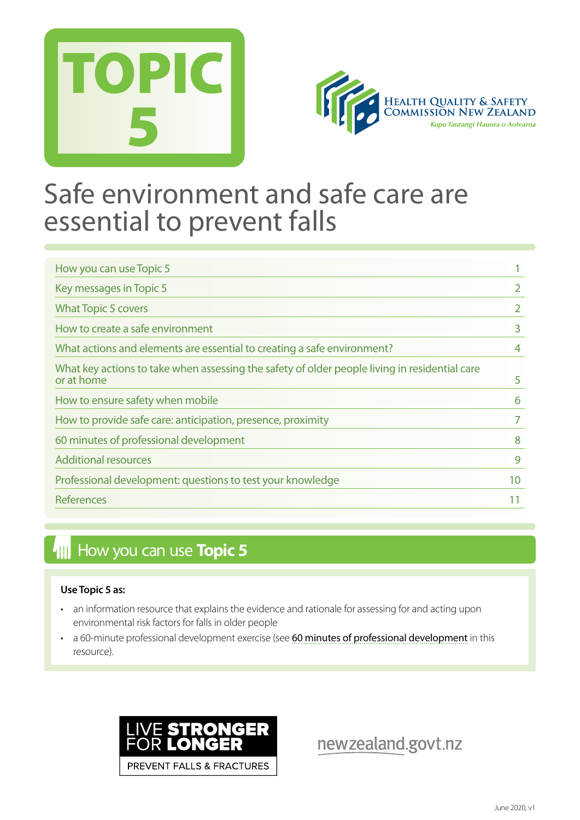



## Safe environment and safe care are essential to prevent falls

| How you can use Topic 5                                                                                     |    |
|-------------------------------------------------------------------------------------------------------------|----|
| Key messages in Topic 5                                                                                     |    |
| <b>What Topic 5 covers</b>                                                                                  |    |
| How to create a safe environment                                                                            | 3  |
| What actions and elements are essential to creating a safe environment?                                     |    |
| What key actions to take when assessing the safety of older people living in residential care<br>or at home | 5  |
| How to ensure safety when mobile                                                                            | 6  |
| How to provide safe care: anticipation, presence, proximity                                                 |    |
| 60 minutes of professional development                                                                      | 8  |
| <b>Additional resources</b>                                                                                 | 9  |
| Professional development: questions to test your knowledge                                                  | 10 |
| References                                                                                                  |    |

## **How you can use Topic 5**

#### **Use Topic 5 as:**

- an information resource that explains the evidence and rationale for assessing for and acting upon environmental risk factors for falls in older people
- a 60-minute professional development exercise (see [60 minutes of professional development](#page-7-0) in this resource).



newzealand.govt.nz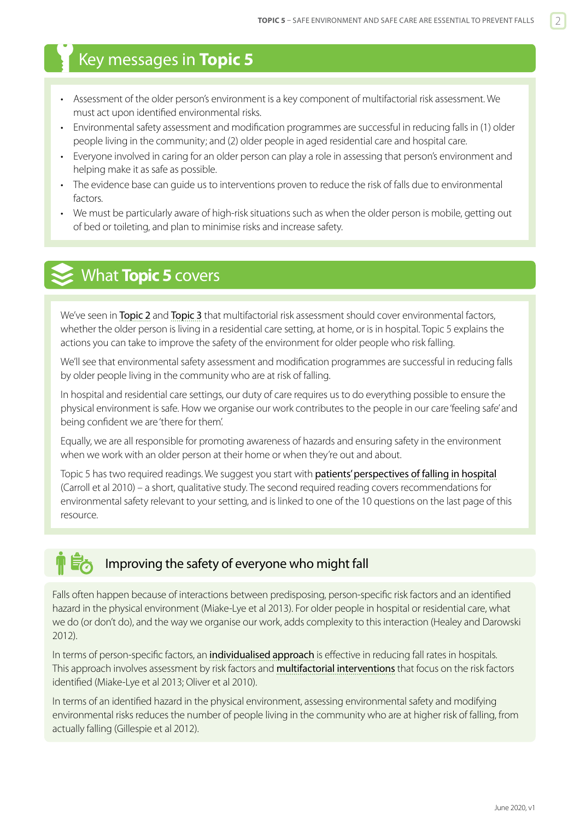## <span id="page-1-0"></span>Key messages in **Topic 5**

- Assessment of the older person's environment is a key component of multifactorial risk assessment. We must act upon identified environmental risks.
- Environmental safety assessment and modification programmes are successful in reducing falls in (1) older people living in the community; and (2) older people in aged residential care and hospital care.
- Everyone involved in caring for an older person can play a role in assessing that person's environment and helping make it as safe as possible.
- The evidence base can guide us to interventions proven to reduce the risk of falls due to environmental factors.
- We must be particularly aware of high-risk situations such as when the older person is mobile, getting out of bed or toileting, and plan to minimise risks and increase safety.

## What **Topic 5** covers

We've seen in [Topic 2](https://www.hqsc.govt.nz/our-programmes/reducing-harm-from-falls/publications-and-resources/publication/2873/) and [Topic 3](https://www.hqsc.govt.nz/our-programmes/reducing-harm-from-falls/publications-and-resources/publication/2874) that multifactorial risk assessment should cover environmental factors, whether the older person is living in a residential care setting, at home, or is in hospital. Topic 5 explains the actions you can take to improve the safety of the environment for older people who risk falling.

We'll see that environmental safety assessment and modification programmes are successful in reducing falls by older people living in the community who are at risk of falling.

In hospital and residential care settings, our duty of care requires us to do everything possible to ensure the physical environment is safe. How we organise our work contributes to the people in our care 'feeling safe' and being confident we are 'there for them'.

Equally, we are all responsible for promoting awareness of hazards and ensuring safety in the environment when we work with an older person at their home or when they're out and about.

Topic 5 has two required readings. We suggest you start with [patients' perspectives of falling in hospital](https://www.ncbi.nlm.nih.gov/pmc/articles/PMC3107724/) (Carroll et al 2010) – a short, qualitative study. The second required reading covers recommendations for environmental safety relevant to your setting, and is linked to one of the 10 questions on the last page of this resource.

## Improving the safety of everyone who might fall

Falls often happen because of interactions between predisposing, person-specific risk factors and an identified hazard in the physical environment (Miake-Lye et al 2013). For older people in hospital or residential care, what we do (or don't do), and the way we organise our work, adds complexity to this interaction (Healey and Darowski 2012).

In terms of person-specific factors, an [individualised approach](https://www.hqsc.govt.nz/our-programmes/reducing-harm-from-falls/publications-and-resources/publication/2874) is effective in reducing fall rates in hospitals. This approach involves assessment by risk factors and **[multifactorial interventions](https://www.hqsc.govt.nz/our-programmes/reducing-harm-from-falls/publications-and-resources/publication/2891)** that focus on the risk factors identified (Miake-Lye et al 2013; Oliver et al 2010).

In terms of an identified hazard in the physical environment, assessing environmental safety and modifying environmental risks reduces the number of people living in the community who are at higher risk of falling, from actually falling (Gillespie et al 2012).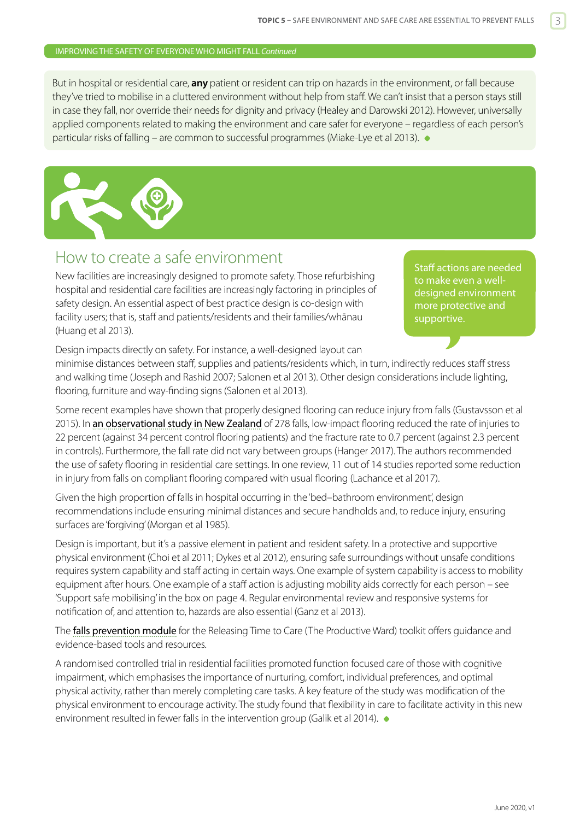#### <span id="page-2-0"></span>IMPROVING THE SAFETY OF EVERYONE WHO MIGHT FALL *Continued*

But in hospital or residential care, **any** patient or resident can trip on hazards in the environment, or fall because they've tried to mobilise in a cluttered environment without help from staff. We can't insist that a person stays still in case they fall, nor override their needs for dignity and privacy (Healey and Darowski 2012). However, universally applied components related to making the environment and care safer for everyone – regardless of each person's particular risks of falling – are common to successful programmes (Miake-Lye et al 2013).



## How to create a safe environment

New facilities are increasingly designed to promote safety. Those refurbishing hospital and residential care facilities are increasingly factoring in principles of safety design. An essential aspect of best practice design is co-design with facility users; that is, staff and patients/residents and their families/whānau (Huang et al 2013).

Staff actions are needed to make even a welldesigned environment more protective and supportive.

Design impacts directly on safety. For instance, a well-designed layout can

minimise distances between staff, supplies and patients/residents which, in turn, indirectly reduces staff stress and walking time (Joseph and Rashid 2007; Salonen et al 2013). Other design considerations include lighting, flooring, furniture and way-finding signs (Salonen et al 2013).

Some recent examples have shown that properly designed flooring can reduce injury from falls (Gustavsson et al 2015). In [an observational study in New Zealand](https://www.ncbi.nlm.nih.gov/pubmed/28279604) of 278 falls, low-impact flooring reduced the rate of injuries to 22 percent (against 34 percent control flooring patients) and the fracture rate to 0.7 percent (against 2.3 percent in controls). Furthermore, the fall rate did not vary between groups (Hanger 2017). The authors recommended the use of safety flooring in residential care settings. In one review, 11 out of 14 studies reported some reduction in injury from falls on compliant flooring compared with usual flooring (Lachance et al 2017).

Given the high proportion of falls in hospital occurring in the 'bed–bathroom environment', design recommendations include ensuring minimal distances and secure handholds and, to reduce injury, ensuring surfaces are 'forgiving' (Morgan et al 1985).

Design is important, but it's a passive element in patient and resident safety. In a protective and supportive physical environment (Choi et al 2011; Dykes et al 2012), ensuring safe surroundings without unsafe conditions requires system capability and staff acting in certain ways. One example of system capability is access to mobility equipment after hours. One example of a staff action is adjusting mobility aids correctly for each person – see 'Support safe mobilising' in the box on page 4. Regular environmental review and responsive systems for notification of, and attention to, hazards are also essential (Ganz et al 2013).

The [falls prevention module](https://www.hqsc.govt.nz/our-programmes/reducing-harm-from-falls/projects/releasing-time-to-care/) for the Releasing Time to Care (The Productive Ward) toolkit offers guidance and evidence-based tools and resources.

A randomised controlled trial in residential facilities promoted function focused care of those with cognitive impairment, which emphasises the importance of nurturing, comfort, individual preferences, and optimal physical activity, rather than merely completing care tasks. A key feature of the study was modification of the physical environment to encourage activity. The study found that flexibility in care to facilitate activity in this new environment resulted in fewer falls in the intervention group (Galik et al 2014).  $\bullet$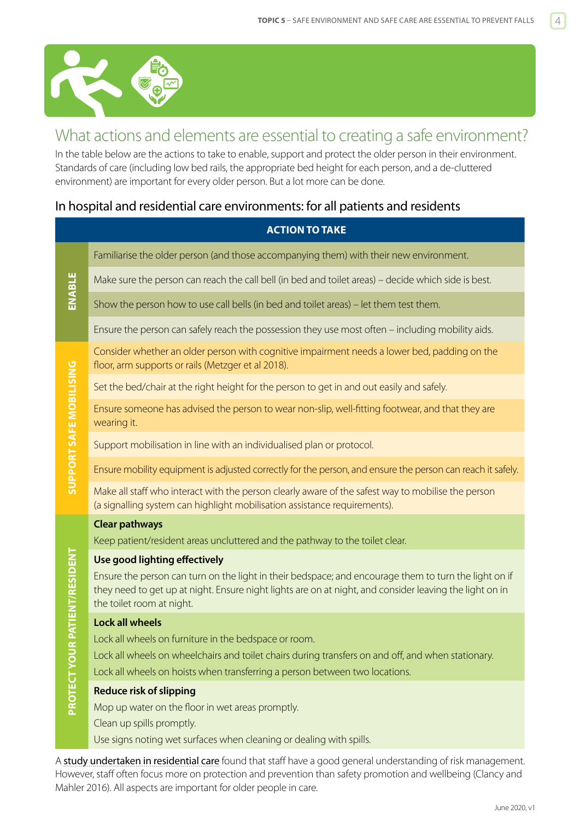<span id="page-3-0"></span>

## What actions and elements are essential to creating a safe environment?

In the table below are the actions to take to enable, support and protect the older person in their environment. Standards of care (including low bed rails, the appropriate bed height for each person, and a de-cluttered environment) are important for every older person. But a lot more can be done.

## In hospital and residential care environments: for all patients and residents

#### **ACTION TO TAKE**

Familiarise the older person (and those accompanying them) with their new environment.

Make sure the person can reach the call bell (in bed and toilet areas) – decide which side is best.

Show the person how to use call bells (in bed and toilet areas) – let them test them.

Ensure the person can safely reach the possession they use most often – including mobility aids.

Consider whether an older person with cognitive impairment needs a lower bed, padding on the floor, arm supports or rails (Metzger et al 2018).

Set the bed/chair at the right height for the person to get in and out easily and safely.

Ensure someone has advised the person to wear non-slip, well-fitting footwear, and that they are wearing it.

Support mobilisation in line with an individualised plan or protocol.

Ensure mobility equipment is adjusted correctly for the person, and ensure the person can reach it safely.

Make all staff who interact with the person clearly aware of the safest way to mobilise the person (a signalling system can highlight mobilisation assistance requirements).

#### **Clear pathways**

Keep patient/resident areas uncluttered and the pathway to the toilet clear.

#### **Use good lighting effectively**

Ensure the person can turn on the light in their bedspace; and encourage them to turn the light on if they need to get up at night. Ensure night lights are on at night, and consider leaving the light on in the toilet room at night.

#### **Lock all wheels**

Lock all wheels on furniture in the bedspace or room.

Lock all wheels on wheelchairs and toilet chairs during transfers on and off, and when stationary.

Lock all wheels on hoists when transferring a person between two locations.

#### **Reduce risk of slipping**

Mop up water on the floor in wet areas promptly.

Clean up spills promptly.

Use signs noting wet surfaces when cleaning or dealing with spills.

A [study undertaken in residential care](https://www.ncbi.nlm.nih.gov/pubmed/?term=Nursing+staffs%E2%80%99+attentiveness+to+older+adults+falling+in+residential+care+%E2%80%93+an+interview+study) found that staff have a good general understanding of risk management. However, staff often focus more on protection and prevention than safety promotion and wellbeing (Clancy and Mahler 2016). All aspects are important for older people in care.

**ENABLE**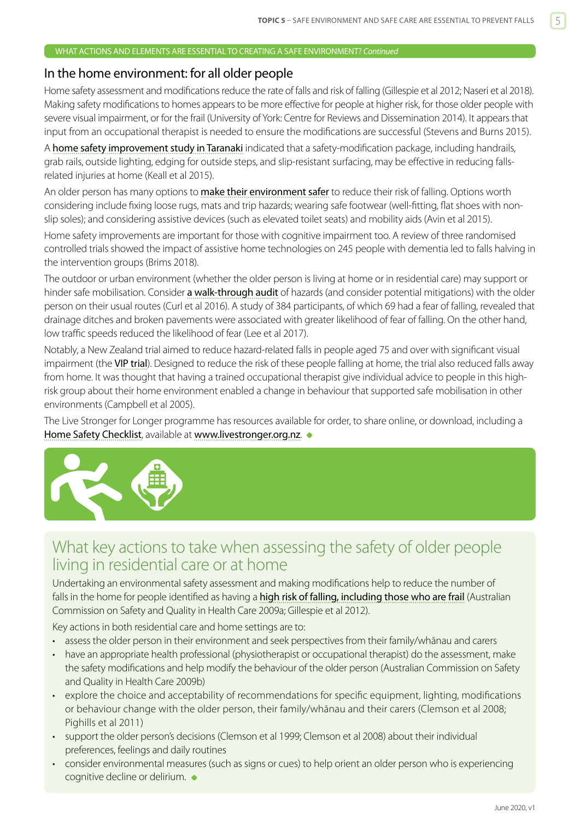#### <span id="page-4-0"></span>WHAT ACTIONS AND ELEMENTS ARE ESSENTIAL TO CREATING A SAFE ENVIRONMENT? *Continued*

### In the home environment: for all older people

Home safety assessment and modifications reduce the rate of falls and risk of falling (Gillespie et al 2012; Naseri et al 2018). Making safety modifications to homes appears to be more effective for people at higher risk, for those older people with severe visual impairment, or for the frail (University of York: Centre for Reviews and Dissemination 2014). It appears that input from an occupational therapist is needed to ensure the modifications are successful (Stevens and Burns 2015).

A [home safety improvement study in Taranaki](https://www.ncbi.nlm.nih.gov/pubmed/25255696) indicated that a safety-modification package, including handrails, grab rails, outside lighting, edging for outside steps, and slip-resistant surfacing, may be effective in reducing fallsrelated injuries at home (Keall et al 2015).

An older person has many options to [make their environment safer](https://www.acc.co.nz/assets/injury-prevention/acc2383-prevent-falls.pdf) to reduce their risk of falling. Options worth considering include fixing loose rugs, mats and trip hazards; wearing safe footwear (well-fitting, flat shoes with nonslip soles); and considering assistive devices (such as elevated toilet seats) and mobility aids (Avin et al 2015).

Home safety improvements are important for those with cognitive impairment too. A review of three randomised controlled trials showed the impact of assistive home technologies on 245 people with dementia led to falls halving in the intervention groups (Brims 2018).

The outdoor or urban environment (whether the older person is living at home or in residential care) may support or hinder safe mobilisation. Consider [a walk-through audit](https://www.ncbi.nlm.nih.gov/pmc/articles/PMC4818981/) of hazards (and consider potential mitigations) with the older person on their usual routes (Curl et al 2016). A study of 384 participants, of which 69 had a fear of falling, revealed that drainage ditches and broken pavements were associated with greater likelihood of fear of falling. On the other hand, low traffic speeds reduced the likelihood of fear (Lee et al 2017).

Notably, a New Zealand trial aimed to reduce hazard-related falls in people aged 75 and over with significant visual impairment (the [VIP trial](http://www.bmj.com/content/331/7520/817.short)). Designed to reduce the risk of these people falling at home, the trial also reduced falls away from home. It was thought that having a trained occupational therapist give individual advice to people in this highrisk group about their home environment enabled a change in behaviour that supported safe mobilisation in other environments (Campbell et al 2005).

The Live Stronger for Longer programme has resources available for order, to share online, or download, including a [Home Safety Checklist](https://www.livestronger.org.nz//assets/Uploads/ACC7771-home-safety-checklist-2.pdf), available at <www.livestronger.org.nz>.



## What key actions to take when assessing the safety of older people living in residential care or at home

Undertaking an environmental safety assessment and making modifications help to reduce the number of falls in the home for people identified as having a **[high risk of falling, including those who are frail](https://www.hqsc.govt.nz/our-programmes/reducing-harm-from-falls/publications-and-resources/publication/2873/)** (Australian Commission on Safety and Quality in Health Care 2009a; Gillespie et al 2012).

Key actions in both residential care and home settings are to:

- assess the older person in their environment and seek perspectives from their family/whānau and carers
- have an appropriate health professional (physiotherapist or occupational therapist) do the assessment, make the safety modifications and help modify the behaviour of the older person (Australian Commission on Safety and Quality in Health Care 2009b)
- explore the choice and acceptability of recommendations for specific equipment, lighting, modifications or behaviour change with the older person, their family/whānau and their carers (Clemson et al 2008; Pighills et al 2011)
- support the older person's decisions (Clemson et al 1999; Clemson et al 2008) about their individual preferences, feelings and daily routines
- consider environmental measures (such as signs or cues) to help orient an older person who is experiencing cognitive decline or delirium.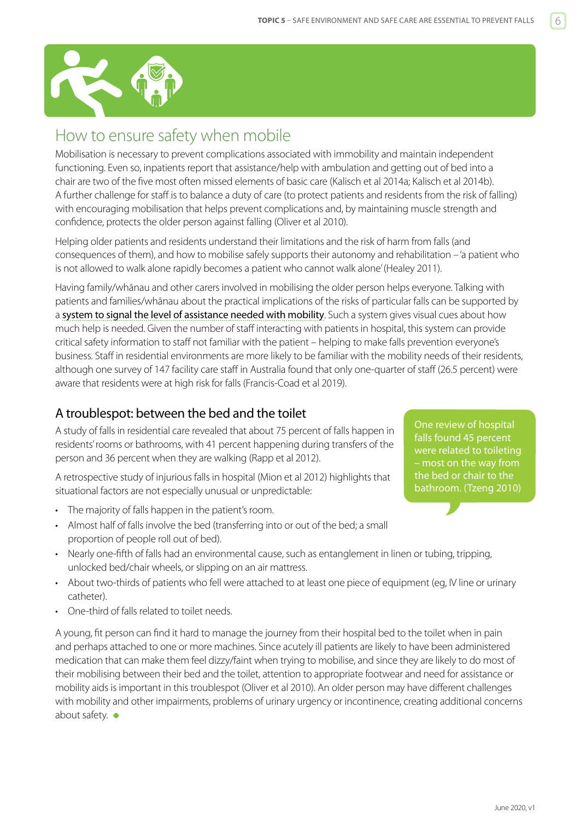<span id="page-5-0"></span>

## How to ensure safety when mobile

Mobilisation is necessary to prevent complications associated with immobility and maintain independent functioning. Even so, inpatients report that assistance/help with ambulation and getting out of bed into a chair are two of the five most often missed elements of basic care (Kalisch et al 2014a; Kalisch et al 2014b). A further challenge for staff is to balance a duty of care (to protect patients and residents from the risk of falling) with encouraging mobilisation that helps prevent complications and, by maintaining muscle strength and confidence, protects the older person against falling (Oliver et al 2010).

Helping older patients and residents understand their limitations and the risk of harm from falls (and consequences of them), and how to mobilise safely supports their autonomy and rehabilitation – 'a patient who is not allowed to walk alone rapidly becomes a patient who cannot walk alone' (Healey 2011).

Having family/whānau and other carers involved in mobilising the older person helps everyone. Talking with patients and families/whānau about the practical implications of the risks of particular falls can be supported by a [system to signal the level of assistance needed with mobility](http://www.hqsc.govt.nz/our-programmes/reducing-harm-from-falls/projects/signalling-system/). Such a system gives visual cues about how much help is needed. Given the number of staff interacting with patients in hospital, this system can provide critical safety information to staff not familiar with the patient – helping to make falls prevention everyone's business. Staff in residential environments are more likely to be familiar with the mobility needs of their residents, although one survey of 147 facility care staff in Australia found that only one-quarter of staff (26.5 percent) were aware that residents were at high risk for falls (Francis-Coad et al 2019).

## A troublespot: between the bed and the toilet

A study of falls in residential care revealed that about 75 percent of falls happen in residents' rooms or bathrooms, with 41 percent happening during transfers of the person and 36 percent when they are walking (Rapp et al 2012).

A retrospective study of injurious falls in hospital (Mion et al 2012) highlights that situational factors are not especially unusual or unpredictable:

- The majority of falls happen in the patient's room.
- Almost half of falls involve the bed (transferring into or out of the bed; a small proportion of people roll out of bed).
- Nearly one-fifth of falls had an environmental cause, such as entanglement in linen or tubing, tripping, unlocked bed/chair wheels, or slipping on an air mattress.
- About two-thirds of patients who fell were attached to at least one piece of equipment (eg, IV line or urinary catheter).
- One-third of falls related to toilet needs.

A young, fit person can find it hard to manage the journey from their hospital bed to the toilet when in pain and perhaps attached to one or more machines. Since acutely ill patients are likely to have been administered medication that can make them feel dizzy/faint when trying to mobilise, and since they are likely to do most of their mobilising between their bed and the toilet, attention to appropriate footwear and need for assistance or mobility aids is important in this troublespot (Oliver et al 2010). An older person may have different challenges with mobility and other impairments, problems of urinary urgency or incontinence, creating additional concerns about safety.  $\bullet$ 

One review of hospital falls found 45 percent were related to toileting – most on the way from the bed or chair to the bathroom. (Tzeng 2010)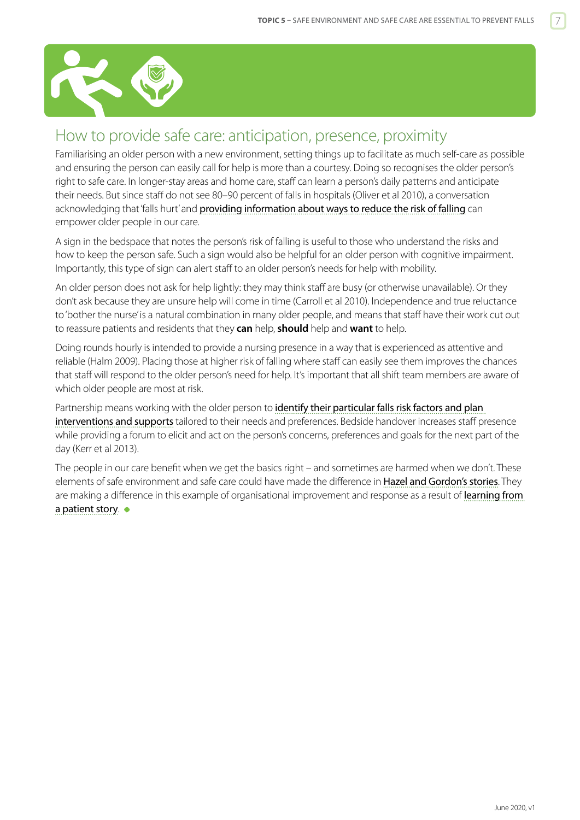<span id="page-6-0"></span>

## How to provide safe care: anticipation, presence, proximity

Familiarising an older person with a new environment, setting things up to facilitate as much self-care as possible and ensuring the person can easily call for help is more than a courtesy. Doing so recognises the older person's right to safe care. In longer-stay areas and home care, staff can learn a person's daily patterns and anticipate their needs. But since staff do not see 80–90 percent of falls in hospitals (Oliver et al 2010), a conversation acknowledging that 'falls hurt' and [providing information about ways to reduce the risk of falling](http://www.hqsc.govt.nz/our-programmes/reducing-harm-from-falls/projects/patient-information/) can empower older people in our care.

A sign in the bedspace that notes the person's risk of falling is useful to those who understand the risks and how to keep the person safe. Such a sign would also be helpful for an older person with cognitive impairment. Importantly, this type of sign can alert staff to an older person's needs for help with mobility.

An older person does not ask for help lightly: they may think staff are busy (or otherwise unavailable). Or they don't ask because they are unsure help will come in time (Carroll et al 2010). Independence and true reluctance to 'bother the nurse' is a natural combination in many older people, and means that staff have their work cut out to reassure patients and residents that they **can** help, **should** help and **want** to help.

Doing rounds hourly is intended to provide a nursing presence in a way that is experienced as attentive and reliable (Halm 2009). Placing those at higher risk of falling where staff can easily see them improves the chances that staff will respond to the older person's need for help. It's important that all shift team members are aware of which older people are most at risk.

Partnership means working with the older person to identify their particular falls risk factors and plan [interventions and supports](https://www.hqsc.govt.nz/our-programmes/reducing-harm-from-falls/publications-and-resources/publication/2874) tailored to their needs and preferences. Bedside handover increases staff presence while providing a forum to elicit and act on the person's concerns, preferences and goals for the next part of the day (Kerr et al 2013).

The people in our care benefit when we get the basics right – and sometimes are harmed when we don't. These elements of safe environment and safe care could have made the difference in [Hazel and Gordon's stories](http://www.open.hqsc.govt.nz/assets/Open-for-better-care/PR-files--images/open-patient-stories-May-2013.pdf). They are making a difference in this example of organisational improvement and response as a result of learning from [a patient story](http://www.hqsc.govt.nz/our-programmes/reducing-harm-from-falls/10-topics/patient-stories/#[LEARNING]).  $\bullet$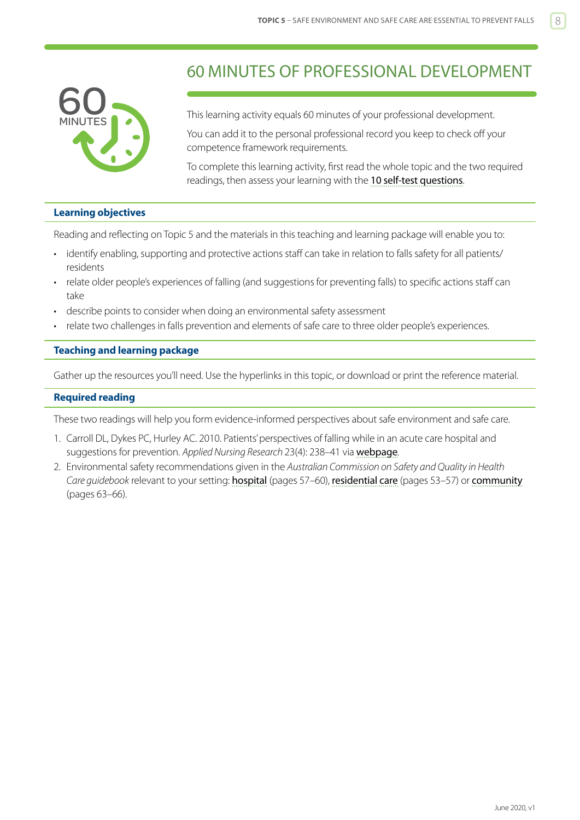<span id="page-7-0"></span>

## 60 MINUTES OF PROFESSIONAL DEVELOPMENT

This learning activity equals 60 minutes of your professional development.

You can add it to the personal professional record you keep to check off your competence framework requirements.

To complete this learning activity, first read the whole topic and the two required readings, then assess your learning with the [10 self-test questions](#page-9-0).

#### **Learning objectives**

Reading and reflecting on Topic 5 and the materials in this teaching and learning package will enable you to:

- identify enabling, supporting and protective actions staff can take in relation to falls safety for all patients/ residents
- relate older people's experiences of falling (and suggestions for preventing falls) to specific actions staff can take
- describe points to consider when doing an environmental safety assessment
- relate two challenges in falls prevention and elements of safe care to three older people's experiences.

#### **Teaching and learning package**

Gather up the resources you'll need. Use the hyperlinks in this topic, or download or print the reference material.

#### **Required reading**

These two readings will help you form evidence-informed perspectives about safe environment and safe care.

- 1. Carroll DL, Dykes PC, Hurley AC. 2010. Patients' perspectives of falling while in an acute care hospital and suggestions for prevention. *Applied Nursing Research* 23(4): 238–41 via [webpage](https://www.ncbi.nlm.nih.gov/pmc/articles/PMC3107724/)*.*
- 2. Environmental safety recommendations given in the *Australian Commission on Safety and Quality in Health Care guidebook* relevant to your setting: [hospital](https://www.safetyandquality.gov.au/wp-content/uploads/2009/01/30459-HOSP-Guidebook.pdf) (pages 57–60), [residential care](https://www.safetyandquality.gov.au/wp-content/uploads/2012/01/30454-RACF-Guidebook1.pdf) (pages 53–57) or [community](https://www.safetyandquality.gov.au/wp-content/uploads/2012/01/30455-COMM-Guidebook1.pdf) (pages 63–66).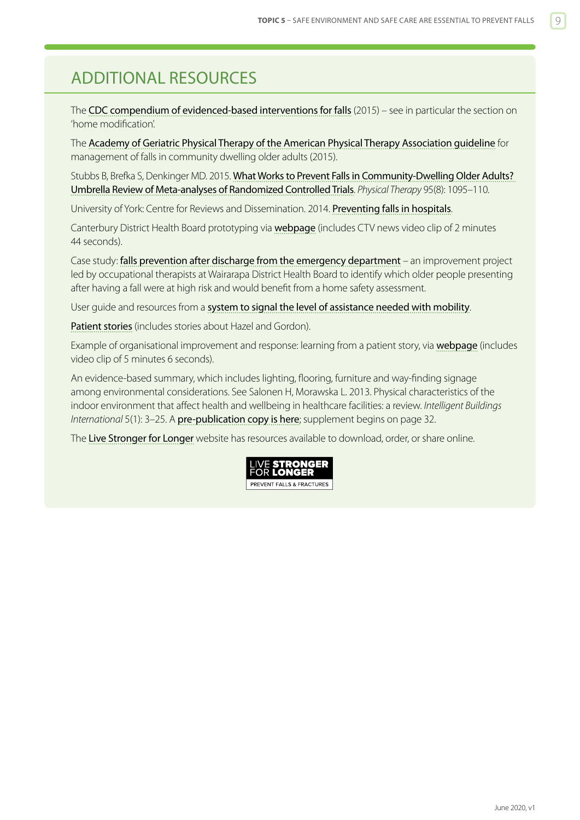## <span id="page-8-0"></span>ADDITIONAL RESOURCES

The [CDC compendium of evidenced-based interventions for falls](https://www.cdc.gov/homeandrecreationalsafety/falls/compendium.html) (2015) – see in particular the section on 'home modification'.

The [Academy of Geriatric Physical Therapy of the American Physical Therapy Association guideline](https://www.ncbi.nlm.nih.gov/pmc/articles/PMC4757637/) for management of falls in community dwelling older adults (2015).

Stubbs B, Brefka S, Denkinger MD. 2015. [What Works to Prevent Falls in Community-Dwelling Older Adults?](https://academic.oup.com/ptj/article-lookup/doi/10.2522/ptj.20140461)  [Umbrella Review of Meta-analyses of Randomized Controlled Trials](https://academic.oup.com/ptj/article-lookup/doi/10.2522/ptj.20140461). *Physical Therapy* 95(8): 1095–110.

University of York: Centre for Reviews and Dissemination. 2014. [Preventing falls in hospitals](https://www.york.ac.uk/media/crd/effectiveness-matters-august-2014-falls%20in%20hospitals.pdf).

Canterbury District Health Board prototyping via [webpage](http://www.nbbj.com/work/canterbury-district-health-board-prototyping/) (includes CTV news video clip of 2 minutes 44 seconds).

Case study: [falls prevention after discharge from the emergency department](http://www.open.hqsc.govt.nz/falls/publications-and-resources/publication/1099/) – an improvement project led by occupational therapists at Wairarapa District Health Board to identify which older people presenting after having a fall were at high risk and would benefit from a home safety assessment.

User guide and resources from a [system to signal the level of assistance needed with mobility](http://www.hqsc.govt.nz/our-programmes/reducing-harm-from-falls/projects/signalling-system/).

[Patient stories](http://www.open.hqsc.govt.nz/assets/Open-for-better-care/PR-files--images/open-patient-stories-May-2013.pdf) (includes stories about Hazel and Gordon).

Example of organisational improvement and response: learning from a patient story, via [webpage](http://www.hqsc.govt.nz/our-programmes/reducing-harm-from-falls/10-topics/patient-stories/#[LEARNING]) (includes video clip of 5 minutes 6 seconds).

An evidence-based summary, which includes lighting, flooring, furniture and way-finding signage among environmental considerations. See Salonen H, Morawska L. 2013. Physical characteristics of the indoor environment that affect health and wellbeing in healthcare facilities: a review. *Intelligent Buildings International* 5(1): 3-25. A [pre-publication copy is here](http://eprints.qut.edu.au/58649/2/58649.pdf); supplement begins on page 32.

The [Live Stronger for Longer](www.livestronger.org.nz) website has resources available to download, order, or share online.

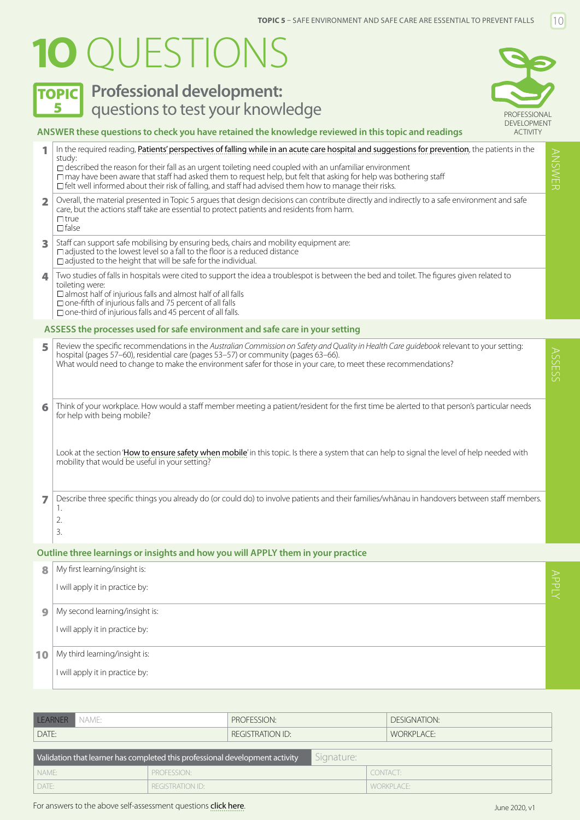# <span id="page-9-0"></span>**1O** QUESTIONS

## **TOPIC** Professional development: **5 Questions to test your knowledge Example 2014** PROFESSIONAL



### **ANSWER these questions to check you have retained the knowledge reviewed in this topic and readings**  1 In the required reading, [Patients' perspectives of falling while in an acute care hospital and suggestions for prevention](https://www.ncbi.nlm.nih.gov/pmc/articles/PMC3107724/), the patients in the study:  $\Box$  described the reason for their fall as an urgent toileting need coupled with an unfamiliar environment  $\Box$  may have been aware that staff had asked them to request help, but felt that asking for help was bothering staff  $\Box$  felt well informed about their risk of falling, and staff had advised them how to manage their risks. 2 Overall, the material presented in Topic 5 argues that design decisions can contribute directly and indirectly to a safe environment and safe care, but the actions staff take are essential to protect patients and residents from harm.  $\Box$ true  $\Box$  false 3 Staff can support safe mobilising by ensuring beds, chairs and mobility equipment are:  $\Box$  adjusted to the lowest level so a fall to the floor is a reduced distance  $\Box$  adjusted to the height that will be safe for the individual. 4 Two studies of falls in hospitals were cited to support the idea a troublespot is between the bed and toilet. The figures given related to toileting were:  $\square$  almost half of injurious falls and almost half of all falls  $\Box$  one-fifth of injurious falls and 75 percent of all falls  $\Box$  one-third of injurious falls and 45 percent of all falls. 5 Review the specific recommendations in the *Australian Commission on Safety and Quality in Health Care guidebook* relevant to your setting: hospital (pages 57–60), residential care (pages 53–57) or community (pages 63–66). What would need to change to make the environment safer for those in your care, to meet these recommendations? 6 Think of your workplace. How would a staff member meeting a patient/resident for the first time be alerted to that person's particular needs for help with being mobile? Look at the section '[How to ensure safety when mobile](#page-5-0)' in this topic. Is there a system that can help to signal the level of help needed with mobility that would be useful in your setting? 7 Describe three specific things you already do (or could do) to involve patients and their families/whānau in handovers between staff members. 1. 2. 3. **ASSESS the processes used for safe environment and safe care in your setting**

#### **Outline three learnings or insights and how you will APPLY them in your practice**

| 8  | My first learning/insight is:   |       |
|----|---------------------------------|-------|
|    | I will apply it in practice by: | ANPLY |
| 9  | My second learning/insight is:  |       |
|    | I will apply it in practice by: |       |
| 10 | My third learning/insight is:   |       |
|    | I will apply it in practice by: |       |

| LEARNER NAME:                                                                              | PROFESSION:      | DESIGNATION: |  |  |  |  |
|--------------------------------------------------------------------------------------------|------------------|--------------|--|--|--|--|
| DATE:                                                                                      | REGISTRATION ID: | WORKPLACE:   |  |  |  |  |
| Signature:<br>Validation that learner has completed this professional development activity |                  |              |  |  |  |  |
|                                                                                            |                  |              |  |  |  |  |
| NAME:                                                                                      | PROFESSION:      | CONTACT:     |  |  |  |  |

ANSWER

**ANSWE**